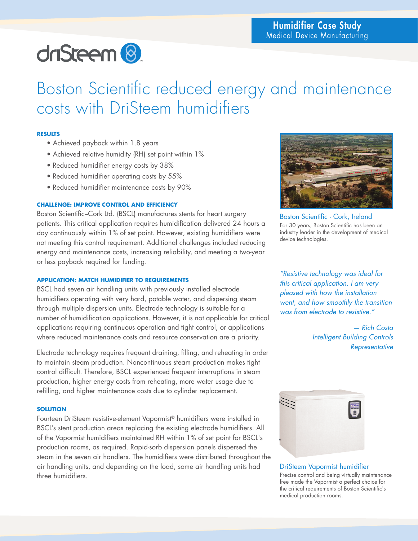# driSteem<sup>8</sup>

Boston Scientific reduced energy and maintenance costs with DriSteem humidifiers

# **RESULTS**

- Achieved payback within 1.8 years
- Achieved relative humidity (RH) set point within 1%
- Reduced humidifier energy costs by 38%
- Reduced humidifier operating costs by 55%
- Reduced humidifier maintenance costs by 90%

# **CHALLENGE: IMPROVE CONTROL AND EFFICIENCY**

Boston Scientific–Cork Ltd. (BSCL) manufactures stents for heart surgery patients. This critical application requires humidification delivered 24 hours a day continuously within 1% of set point. However, existing humidifiers were not meeting this control requirement. Additional challenges included reducing energy and maintenance costs, increasing reliability, and meeting a two-year or less payback required for funding.

## **APPLICATION: MATCH HUMIDIFIER TO REQUIREMENTS**

BSCL had seven air handling units with previously installed electrode humidifiers operating with very hard, potable water, and dispersing steam through multiple dispersion units. Electrode technology is suitable for a number of humidification applications. However, it is not applicable for critical applications requiring continuous operation and tight control, or applications where reduced maintenance costs and resource conservation are a priority.

Electrode technology requires frequent draining, filling, and reheating in order to maintain steam production. Noncontinuous steam production makes tight control difficult. Therefore, BSCL experienced frequent interruptions in steam production, higher energy costs from reheating, more water usage due to refilling, and higher maintenance costs due to cylinder replacement.

## **SOLUTION**

Fourteen DriSteem resistive-element Vapormist® humidifiers were installed in BSCL's stent production areas replacing the existing electrode humidifiers. All of the Vapormist humidifiers maintained RH within 1% of set point for BSCL's production rooms, as required. Rapid-sorb dispersion panels dispersed the steam in the seven air handlers. The humidifiers were distributed throughout the air handling units, and depending on the load, some air handling units had three humidifiers.



Boston Scientific - Cork, Ireland For 30 years, Boston Scientific has been an industry leader in the development of medical device technologies.

*"Resistive technology was ideal for this critical application. I am very pleased with how the installation went, and how smoothly the transition was from electrode to resistive."*

> *— Rich Costa Intelligent Building Controls Representative*



#### DriSteem Vapormist humidifier Precise control and being virtually maintenance free made the Vapormist a perfect choice for the critical requirements of Boston Scientific's medical production rooms.